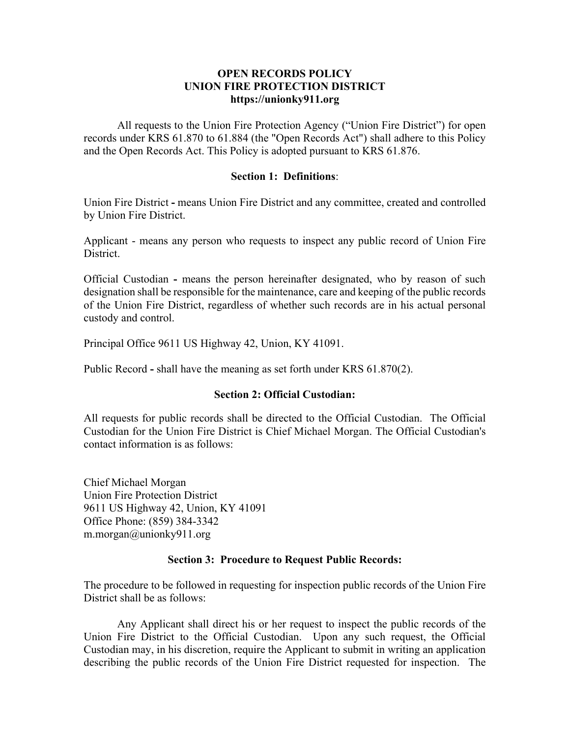# **OPEN RECORDS POLICY UNION FIRE PROTECTION DISTRICT https://unionky911.org**

All requests to the Union Fire Protection Agency ("Union Fire District") for open records under KRS 61.870 to 61.884 (the "Open Records Act") shall adhere to this Policy and the Open Records Act. This Policy is adopted pursuant to KRS 61.876.

### **Section 1: Definitions**:

Union Fire District **-** means Union Fire District and any committee, created and controlled by Union Fire District.

Applicant - means any person who requests to inspect any public record of Union Fire District.

Official Custodian **-** means the person hereinafter designated, who by reason of such designation shall be responsible for the maintenance, care and keeping of the public records of the Union Fire District, regardless of whether such records are in his actual personal custody and control.

Principal Office [9611 US Highway 42, Union, KY 41091.](https://www.bing.com/local?lid=YN347x225323312&id=YN347x225323312&q=Union+Fire+Protection+District&name=Union+Fire+Protection+District&cp=38.95240020751953%7e-84.67713165283203&ppois=38.95240020751953_-84.67713165283203_Union+Fire+Protection+District)

Public Record **-** shall have the meaning as set forth under KRS 61.870(2).

#### **Section 2: Official Custodian:**

All requests for public records shall be directed to the Official Custodian. The Official Custodian for the Union Fire District is Chief Michael Morgan. The Official Custodian's contact information is as follows:

Chief Michael Morgan Union Fire Protection District [9611 US Highway 42, Union, KY 41091](https://www.bing.com/local?lid=YN347x225323312&id=YN347x225323312&q=Union+Fire+Protection+District&name=Union+Fire+Protection+District&cp=38.95240020751953%7e-84.67713165283203&ppois=38.95240020751953_-84.67713165283203_Union+Fire+Protection+District) Office Phone: (859) 384-3342 m.morgan@unionky911.org

#### **Section 3: Procedure to Request Public Records:**

The procedure to be followed in requesting for inspection public records of the Union Fire District shall be as follows:

Any Applicant shall direct his or her request to inspect the public records of the Union Fire District to the Official Custodian. Upon any such request, the Official Custodian may, in his discretion, require the Applicant to submit in writing an application describing the public records of the Union Fire District requested for inspection. The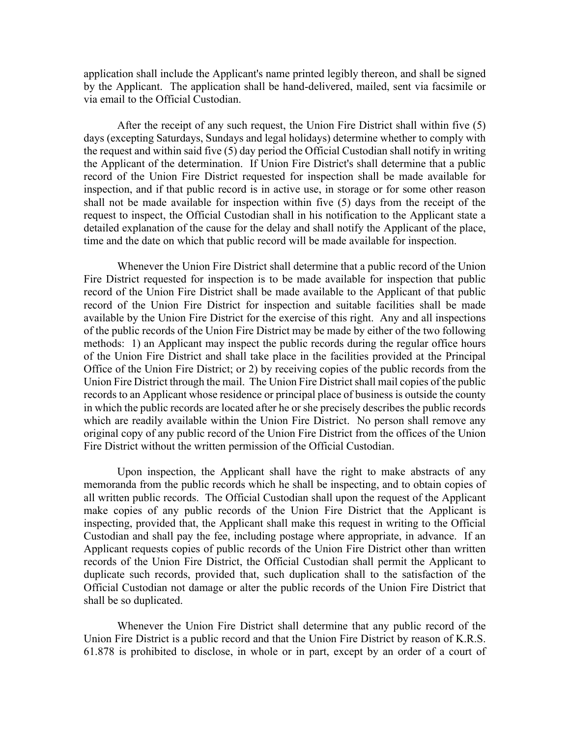application shall include the Applicant's name printed legibly thereon, and shall be signed by the Applicant. The application shall be hand-delivered, mailed, sent via facsimile or via email to the Official Custodian.

After the receipt of any such request, the Union Fire District shall within five (5) days (excepting Saturdays, Sundays and legal holidays) determine whether to comply with the request and within said five (5) day period the Official Custodian shall notify in writing the Applicant of the determination. If Union Fire District's shall determine that a public record of the Union Fire District requested for inspection shall be made available for inspection, and if that public record is in active use, in storage or for some other reason shall not be made available for inspection within five (5) days from the receipt of the request to inspect, the Official Custodian shall in his notification to the Applicant state a detailed explanation of the cause for the delay and shall notify the Applicant of the place, time and the date on which that public record will be made available for inspection.

Whenever the Union Fire District shall determine that a public record of the Union Fire District requested for inspection is to be made available for inspection that public record of the Union Fire District shall be made available to the Applicant of that public record of the Union Fire District for inspection and suitable facilities shall be made available by the Union Fire District for the exercise of this right. Any and all inspections of the public records of the Union Fire District may be made by either of the two following methods: 1) an Applicant may inspect the public records during the regular office hours of the Union Fire District and shall take place in the facilities provided at the Principal Office of the Union Fire District; or 2) by receiving copies of the public records from the Union Fire District through the mail. The Union Fire District shall mail copies of the public records to an Applicant whose residence or principal place of business is outside the county in which the public records are located after he or she precisely describes the public records which are readily available within the Union Fire District. No person shall remove any original copy of any public record of the Union Fire District from the offices of the Union Fire District without the written permission of the Official Custodian.

Upon inspection, the Applicant shall have the right to make abstracts of any memoranda from the public records which he shall be inspecting, and to obtain copies of all written public records. The Official Custodian shall upon the request of the Applicant make copies of any public records of the Union Fire District that the Applicant is inspecting, provided that, the Applicant shall make this request in writing to the Official Custodian and shall pay the fee, including postage where appropriate, in advance. If an Applicant requests copies of public records of the Union Fire District other than written records of the Union Fire District, the Official Custodian shall permit the Applicant to duplicate such records, provided that, such duplication shall to the satisfaction of the Official Custodian not damage or alter the public records of the Union Fire District that shall be so duplicated.

Whenever the Union Fire District shall determine that any public record of the Union Fire District is a public record and that the Union Fire District by reason of K.R.S. 61.878 is prohibited to disclose, in whole or in part, except by an order of a court of